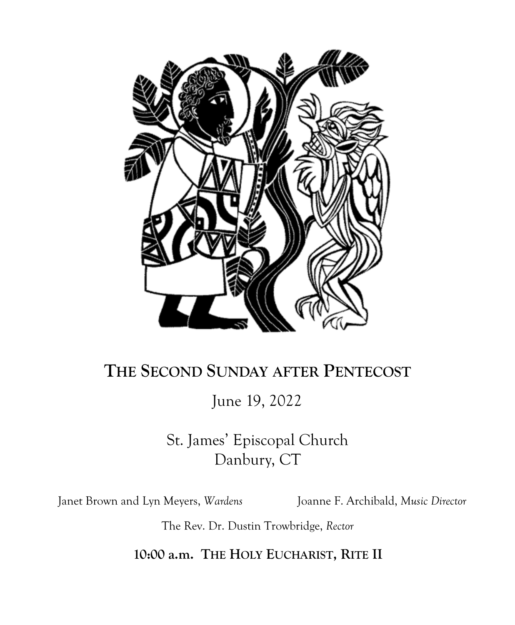

# **THE SECOND SUNDAY AFTER PENTECOST**

June 19, 2022

St. James' Episcopal Church Danbury, CT

Janet Brown and Lyn Meyers, *Wardens* Joanne F. Archibald, *Music Director*

The Rev. Dr. Dustin Trowbridge, *Rector*

**10:00 a.m. THE HOLY EUCHARIST, RITE II**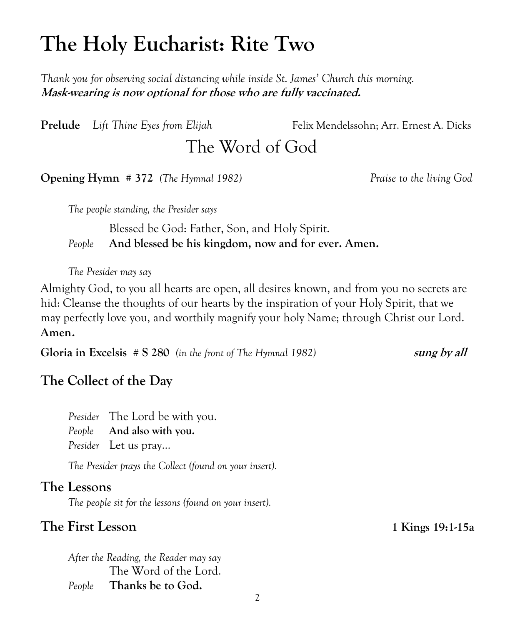# **The Holy Eucharist: Rite Two**

*Thank you for observing social distancing while inside St. James' Church this morning.* **Mask-wearing is now optional for those who are fully vaccinated.** 

**Prelude** *Lift Thine Eyes from Elijah* Felix Mendelssohn; Arr. Ernest A. Dicks

The Word of God

**Opening Hymn # 372** *(The Hymnal 1982) Praise to the living God*

*The people standing, the Presider says*

Blessed be God: Father, Son, and Holy Spirit. *People* **And blessed be his kingdom, now and for ever. Amen.**

*The Presider may say*

Almighty God, to you all hearts are open, all desires known, and from you no secrets are hid: Cleanse the thoughts of our hearts by the inspiration of your Holy Spirit, that we may perfectly love you, and worthily magnify your holy Name; through Christ our Lord. **Amen.**

**Gloria in Excelsis # S 280** (in the front of The Hymnal 1982) **sung by all** 

# **The Collect of the Day**

*Presider* The Lord be with you. *People* **And also with you.** *Presider* Let us pray...

*The Presider prays the Collect (found on your insert).*

# **The Lessons**

*The people sit for the lessons (found on your insert).*

# **The First Lesson 1 Kings 19:1-15a**

*After the Reading, the Reader may say* The Word of the Lord. *People* **Thanks be to God.**

2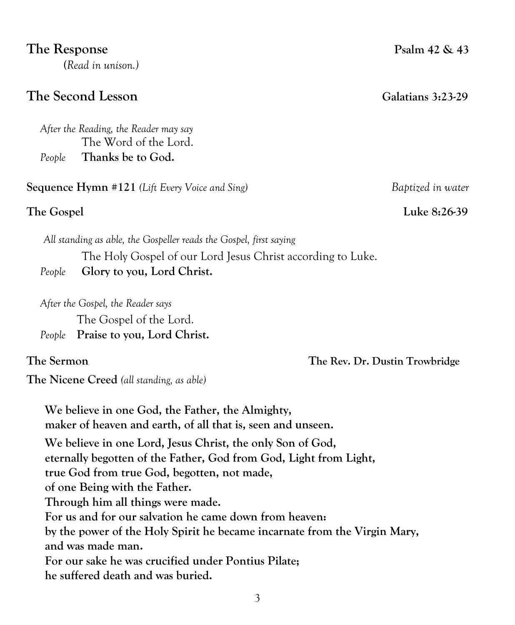#### The Response Psalm 42 & 43

**(***Read in unison.)*

### **The Second Lesson Galatians 3:23-29**

*After the Reading, the Reader may say*  The Word of the Lord. *People* **Thanks be to God.**

**Sequence Hymn #121** *(Lift Every Voice and Sing) Baptized in water*

 *All standing as able, the Gospeller reads the Gospel, first saying* The Holy Gospel of our Lord Jesus Christ according to Luke. *People* **Glory to you, Lord Christ.**

*After the Gospel, the Reader says*

The Gospel of the Lord.

*People* **Praise to you, Lord Christ.**

**The Nicene Creed** *(all standing, as able)*

**We believe in one God, the Father, the Almighty, maker of heaven and earth, of all that is, seen and unseen. We believe in one Lord, Jesus Christ, the only Son of God, eternally begotten of the Father, God from God, Light from Light, true God from true God, begotten, not made, of one Being with the Father. Through him all things were made. For us and for our salvation he came down from heaven: by the power of the Holy Spirit he became incarnate from the Virgin Mary, and was made man. For our sake he was crucified under Pontius Pilate; he suffered death and was buried.**

**The Gospel** Luke 8:26-39

**The Sermon The Rev. Dr. Dustin Trowbridge**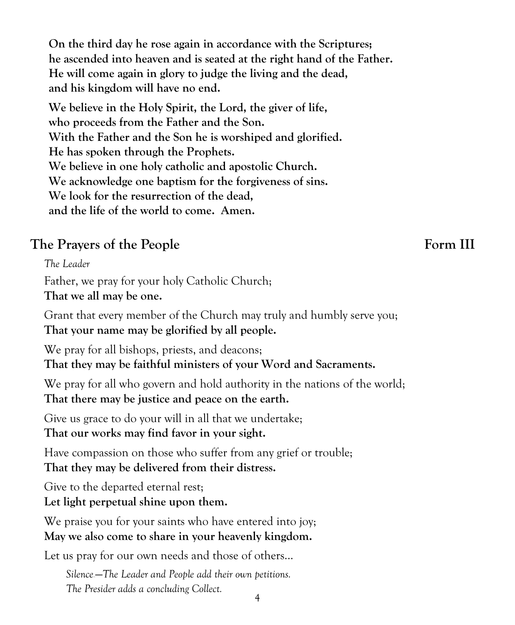**On the third day he rose again in accordance with the Scriptures; he ascended into heaven and is seated at the right hand of the Father. He will come again in glory to judge the living and the dead, and his kingdom will have no end.**

**We believe in the Holy Spirit, the Lord, the giver of life, who proceeds from the Father and the Son. With the Father and the Son he is worshiped and glorified. He has spoken through the Prophets. We believe in one holy catholic and apostolic Church. We acknowledge one baptism for the forgiveness of sins. We look for the resurrection of the dead, and the life of the world to come. Amen.**

# The Prayers of the People **Form III**

*The Leader*

Father, we pray for your holy Catholic Church;

**That we all may be one.**

Grant that every member of the Church may truly and humbly serve you; **That your name may be glorified by all people.**

We pray for all bishops, priests, and deacons;

**That they may be faithful ministers of your Word and Sacraments.**

We pray for all who govern and hold authority in the nations of the world; **That there may be justice and peace on the earth.**

Give us grace to do your will in all that we undertake;

**That our works may find favor in your sight.**

Have compassion on those who suffer from any grief or trouble; **That they may be delivered from their distress.**

Give to the departed eternal rest;

**Let light perpetual shine upon them.**

We praise you for your saints who have entered into joy; **May we also come to share in your heavenly kingdom.**

Let us pray for our own needs and those of others...

*Silence*——*The Leader and People add their own petitions. The Presider adds a concluding Collect.*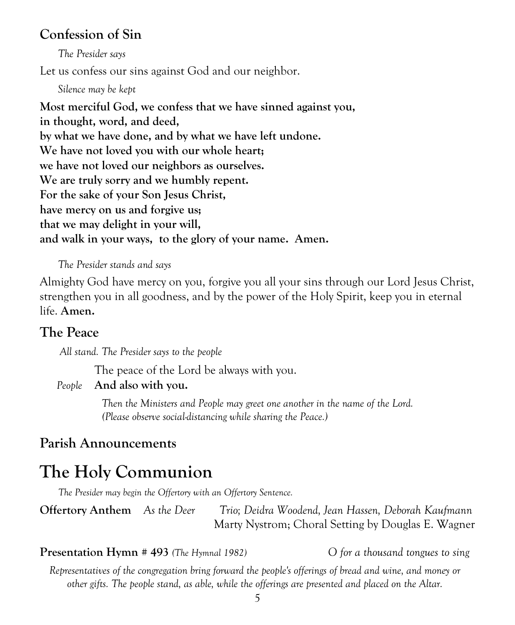# **Confession of Sin**

*The Presider says* Let us confess our sins against God and our neighbor.

*Silence may be kept*

**Most merciful God, we confess that we have sinned against you, in thought, word, and deed, by what we have done, and by what we have left undone. We have not loved you with our whole heart; we have not loved our neighbors as ourselves. We are truly sorry and we humbly repent. For the sake of your Son Jesus Christ, have mercy on us and forgive us; that we may delight in your will, and walk in your ways, to the glory of your name. Amen.**

#### *The Presider stands and says*

Almighty God have mercy on you, forgive you all your sins through our Lord Jesus Christ, strengthen you in all goodness, and by the power of the Holy Spirit, keep you in eternal life. **Amen.**

#### **The Peace**

 *All stand. The Presider says to the people*

The peace of the Lord be always with you.

#### *People* **And also with you.**

*Then the Ministers and People may greet one another in the name of the Lord. (Please observe social-distancing while sharing the Peace.)*

#### **Parish Announcements**

# **The Holy Communion**

*The Presider may begin the Offertory with an Offertory Sentence.* 

**Offertory Anthem** *As the Deer Trio; Deidra Woodend, Jean Hassen, Deborah Kaufmann* Marty Nystrom; Choral Setting by Douglas E. Wagner

**Presentation Hymn # 493** *(The Hymnal 1982) O for a thousand tongues to sing*

*Representatives of the congregation bring forward the people's offerings of bread and wine, and money or other gifts. The people stand, as able, while the offerings are presented and placed on the Altar.*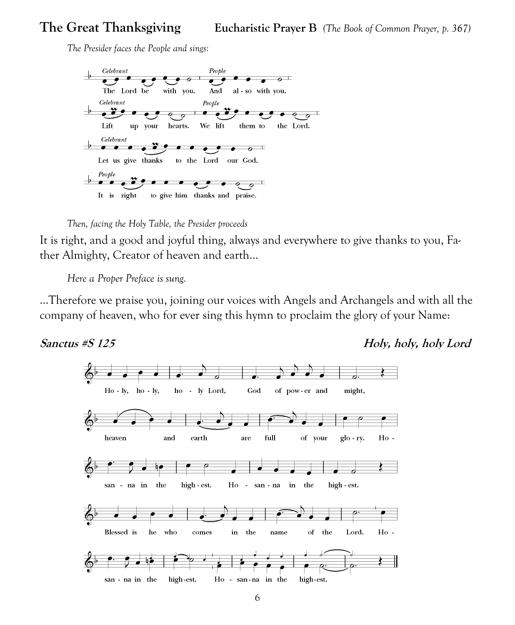# **The Great Thanksgiving Eucharistic Prayer B** *(The Book of Common Prayer, p. 367)*

*The Presider faces the People and sings:*





It is right, and a good and joyful thing, always and everywhere to give thanks to you, Father Almighty, Creator of heaven and earth…

*Here a [Proper Preface](http://www.bcponline.org/HE/pphe2.htm) is sung.*

...Therefore we praise you, joining our voices with Angels and Archangels and with all the company of heaven, who for ever sing this hymn to proclaim the glory of your Name:

**Sanctus #S 125 Holy, holy, holy Lord**

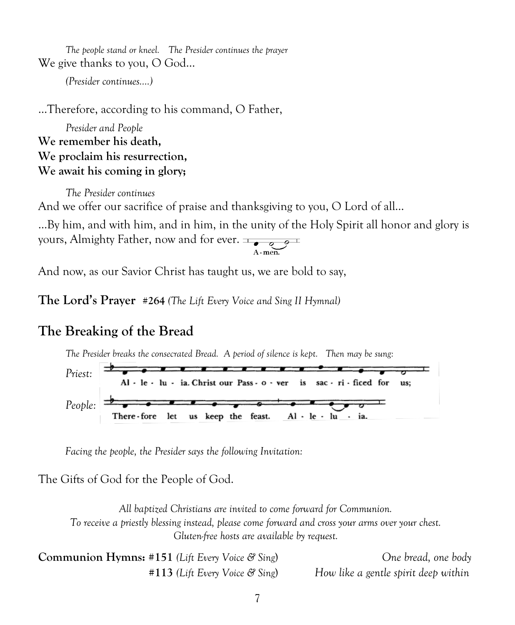*The people stand or kneel. The Presider continues the prayer* We give thanks to you, O God...

*(Presider continues….)*

…Therefore, according to his command, O Father,

*Presider and People* **We remember his death, We proclaim his resurrection, We await his coming in glory;**

*The Presider continues* And we offer our sacrifice of praise and thanksgiving to you, O Lord of all… …By him, and with him, and in him, in the unity of the Holy Spirit all honor and glory is yours, Almighty Father, now and for ever.  $\frac{1}{\sqrt{2\pi}}$ 

And now, as our Savior Christ has taught us, we are bold to say,

**The Lord's Prayer #264** *(The Lift Every Voice and Sing II Hymnal)*

# **The Breaking of the Bread**

*The Presider breaks the consecrated Bread. A period of silence is kept. Then may be sung:*



*Facing the people, the Presider says the following Invitation:*

The Gifts of God for the People of God.

*All baptized Christians are invited to come forward for Communion. To receive a priestly blessing instead, please come forward and cross your arms over your chest. Gluten-free hosts are available by request.*

| <b>Communion Hymns:</b> #151 (Lift Every Voice $\mathcal{C}$ Sing) | One bread, one body                  |
|--------------------------------------------------------------------|--------------------------------------|
| $#113$ (Lift Every Voice & Sing)                                   | How like a gentle spirit deep within |